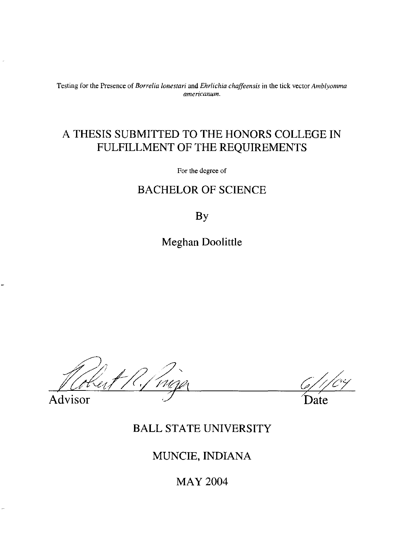Testing for the Presence of *Borrelia lonestari* and *Ehrlichia chaffeensis* **in** the tick vector *Amblyomma americanum.* 

## A THESIS SUBMITTED TO THE HONORS COLLEGE IN FULFILLMENT OF THE REQUIREMENTS

For the degree of

### BACHELOR OF SCIENCE

By

Meghan Doolittle

Advisor Date

## BALL STATE UNIVERSITY

## MUNCIE, INDIANA

MAY 2004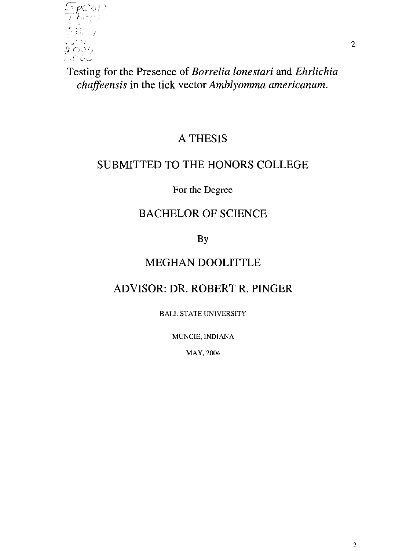

Testing for the Presence of *Borrelia lonestari* and *Ehrlichia chaffeensis* in the tick vector *Amblyomma americanum.* 

## A THESIS

## SUBMITTED TO THE HONORS COLLEGE

For the Degree

## BACHELOR OF SCIENCE

By

## MEGHAN DOOLITTLE

# ADVISOR: DR. ROBERT R. PINGER

BALL STATE UNIVERSITY

MUNCIE, INDIANA

MAY. 2004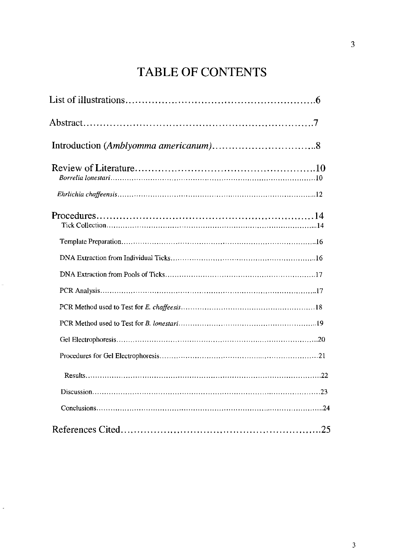# TABLE OF CONTENTS

 $\ddot{\phantom{0}}$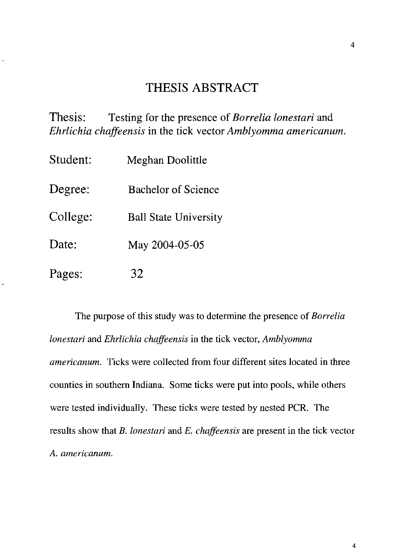## THESIS ABSTRACT

Thesis: Testing for the presence of *Borrelia lonestari* and *Ehrlichia chaffeensis* in the tick vector *Amblyomma americanum.* 

| Student: | Meghan Doolittle             |
|----------|------------------------------|
| Degree:  | <b>Bachelor of Science</b>   |
| College: | <b>Ball State University</b> |
| Date:    | May 2004-05-05               |
| Pages:   | 32                           |

The purpose of this study was to detennine the presence of *Borrelia lonestari* and *Ehrlichia chaffeensis* in the tick vector, *Amblyomma americanum.* Ticks were collected from four different sites located in three counties in southern Indiana. Some ticks were put into pools, while others were tested individually. These ticks were tested by nested PCR. The results show that *B. lonestari* and *E. chaffeensis* are present in the tick vector A. *americanum.*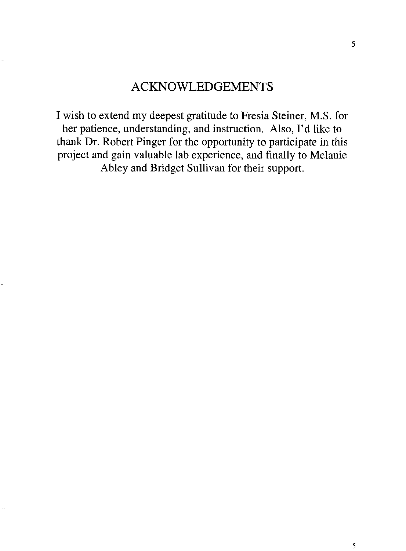# ACKNOWLEDGEMENTS

I wish to extend my deepest gratitude to Fresia Steiner, M.S. for her patience, understanding, and instruction. Also, I'd like to thank Dr. Robert Pinger for the opportunity to participate in this project and gain valuable lab experience, and finally to Melanie Abley and Bridget Sullivan for their support.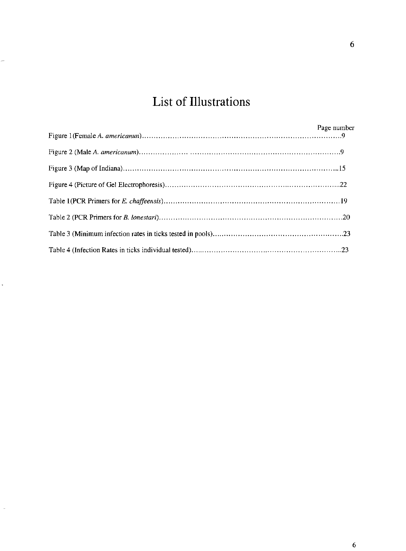# **List of Illustrations**

 $\ddot{\cdot}$ 

.

÷,

| Page number |
|-------------|
|             |
|             |
|             |
|             |
|             |
|             |
|             |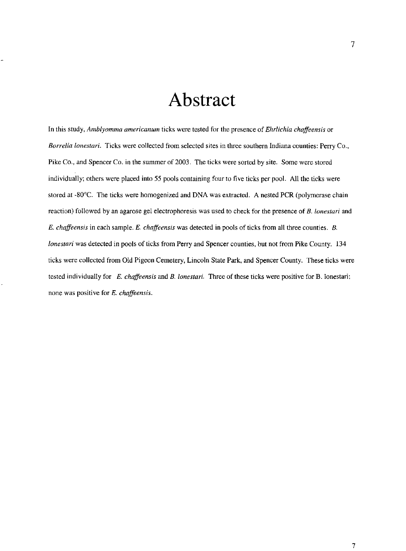# **Abstract**

**In this study,** *Amblyomma arnericanum* **ticks were tested for the presence of** *Ehrlichia chaffeensis* or *Borrelia lonestari.* **Ticks were collected from selected sites in three southern Indiana counties: Perry Co.,**  Pike Co., and Spencer Co. in the summer of 2003. The ticks were sorted by site. Some were stored individually; others were placed into 55 pools containing four to five ticks per pool. All the ticks were stored at -SO"C. The ticks were homogenized and DNA was extracted. A nested PCR (polymerase chain **reaction) followed by an agarose gel electrophoresis was used to check for the presence of** *B. lonestari* **and**  *E. chaffeensis* **in each sample.** *E. chaffeensis* **was detected in pools of ticks from all three counties.** *B. lonestari* was detected in pools of ticks from Perry and Spencer counties, but not from Pike County. 134 ticks were collected from Old Pigeon Cemetery, Lincoln State Park, and Spencer County. These ticks were **tested individually for** *E. chaffeensis* **and B.** *lonestari.* **Three of these ticks were positive for B. lonestari; none was positive for E.** *chaffeensis.*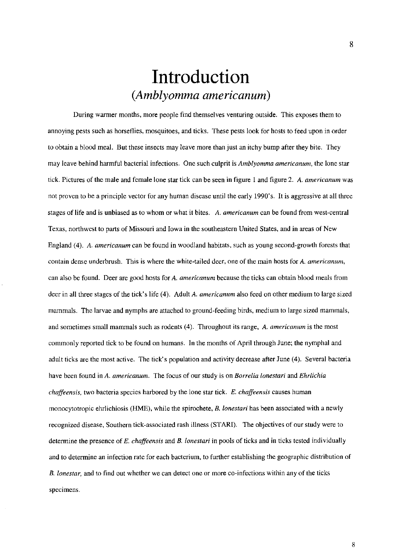# **Introduction**  *(Amblyomma americanum)*

**During warmer months, more people find themselves venturing outside. This exposes them to annoying pests such as horseflies, mosquitoes, and ticks. These pests look for hosts to feed upon in order**  to obtain a hlood meal. But these insects may leave more than just an itchy bump after they bite. They **may leave behind harmful bacterial infections. One such culprit is** *Amblyomma americanum,* **the lone star tick. Pictures of the male and female lone star tick can be seen in figure 1 and figure 2.** *A. americanum* **was**  not proven to be a principle vector for any human disease until the early 1990's. It is aggressive at all three **stages of life and is unbiased as to whom or what it bites. A.** *americanum* **can be found from west-central Texas, northwest to parts of Missouri and Iowa in the southeastern United States, and in areas of New**  England (4). A. *americanum* can be found in woodland habitats, such as young second-growth forests that contain dense underbrush. This is where the white-tailed deer, one of the main hosts for A. *americanum*, **can also be found. Deer are good hosts for A.** *americanum* **because the ticks can obtain blood meals from**  deer in all three stages of the tick's life (4). Adult A. *americanum* also feed on other medium to large sized mammals. The larvae and nymphs are attached to ground-feeding birds, medium to large sized mammals, **and sometimes small mammals such as rodents (4). Throughout its range,** *A. americanum* **is the most**  commonly reported tick to be found on humans. In the months of April through June; the nymphal and adult ticks are the most active. The tick's population and activity decrease after June (4). Several bacteria **have been found in** *A. americanum.* **The focus of our study is on** *Borrelia lonestari* **and** *Ehrlichia chaffeensis,* **two bacteria species harbored by the lone star tick.** *E. chaffeensis* **causes human monocytotropic ehrlichiosis (HME), while the spirochete,** *B. lonestari* **has been associated with a newly recognized disease, Southern tick-associated rash illness (STARI). The objectives of our study were to detennine the presence of** *E. chaffeensis* **and** *B. lonestari* **in pools of ticks and in ticks tested individually and to detennine an infection rate for each bacterium, to further establishing the geographic distribution of B.** *[onestar,* **and to find out whether we can detect one or more co-infections within any of the ticks specimens.**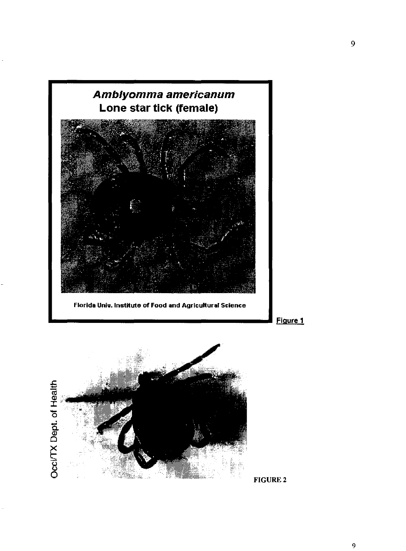

FIGURE 2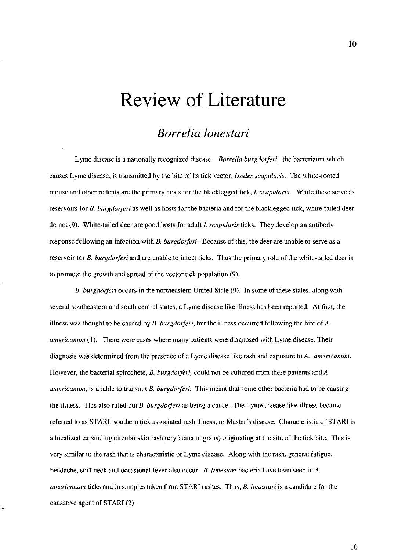# **Review of Literature**

### *Borrelia lonestari*

**Lyme disease is a nationally recognized disease.** *Borrelia burgdorferi,* **the bacteriaum which**  causes Lyme disease, is transmitted by the bite of its tick vector, *Ixodes scapularis.* The white-footed **mouse and other rodents are the primary hosts for the blacklegged tick, I.** *scapuiaris.* **While these serve as**  reservoirs for *B. burgdorferi* as well as hosts for the bacteria and for the blacklegged tick, white-tailed deer, do not (9). White-tailed deer are good hosts for adult *I. scapularis* ticks. They develop an antibody response following an infection with *B. burgdorferi*. Because of this, the deer are unable to serve as a **reservoir for** *B. burgdoiferi* **and are unable to infect ticks. Thus the primary role** of the **white-tailed deer is**  to promote the growth and spread of the vector tick population (9).

*B. burgdorferi* occurs in the northeastern United State (9). In some of these states, along with several southeastern and south central states, a Lyme disease like illness has been reported. At first, the illness was thought to be caused by *B. burgdorferi*, but the illness occurred following the bite of *A*. *americanum* **(1), There were cases where many patients were diagnosed with Lyme disease. Their diagnosis was detennined from the presence of a Lyme disease like rash and exposure to A.** *americanum.*  However, the bacterial spirochete, *B. burgdorferi*, could not be cultured from these patients and A. *americanurn,* **is unable to transmit B.** *burgdorferi.* **This meant that some other bacteria had to be causing**  the illness. This also ruled out *B .burgdorferi* as being a cause. The Lyme disease like illness became referred to as STARI, southern tick associated rash illness, or Master's disease. Characteristic of STARI is a localized expanding circular skin rash (erythema migrans) originating at the site of the tick bite. This is **very similar to the rash that is characteristic of Lyme disease. Along with the rash, general fatigue, headache, stiff neck and occasional fever also occur.** *B. lonestari* **bacteria have been seen in** *A. americanum* **ticks and in samples taken from STARl rashes. Thus,** *B. lonestari* **is a candidate for the**  causative agent of STARI (2).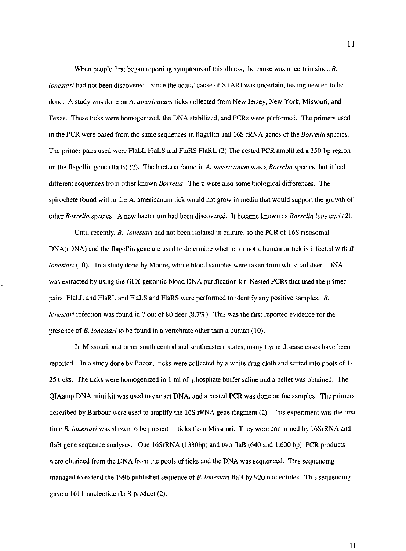When people first began reporting symptoms of this illness, the cause was uncertain since *B*. *lonestari* had not been discovered. Since the actual cause of STARI was uncertain, testing needed to be **done. A study was done on A.** *americanum* **ticks collected from New Jersey, New York, Missouri, and**  Texas. These ticks were homogenized, the DNA stabilized, and PCRs were performed. The primers used in the peR were based from the same sequences in flagellin and 16S rRNA genes of the *Borrelia* species. The primer pairs used were FlaLL FlaLS and FlaRS FlaRL (2) The nested PCR amplified a 350-bp region on the flagellin gene (fla B) (2). The bacteria found in *A. americanum* was a *Borrelia* species, but it had **different sequences from other known** *Borrelia,* **There were also some biological differences. The**  spirochete found within the A. americanum tick would not grow in media that would support the growth of **other** *Borrelia* **species. A new bacterium had been discovered. It became known as** *Borrelia lonestari (2).* 

Until recently, *B.* lonestari had not been isolated in culture, so the PCR of 16S ribosomal DNA(rDNA) and the flagellin gene are used to determine whether or not a human or tick is infected with *B*. *lonestari* (10). In a study done by Moore, whole blood samples were taken from white tail deer. DNA was extracted by using the GFX genomic blood DNA purification kit. Nested PCRs that used the primer pairs FlaLL and FlaRL and FlaLS and FlaRS were performed to identify any positive samples. *B. lonestari* infection was found in 7 out of 80 deer (8.7%). This was the first reported evidence for the presence of *B. lonestari* to be found in a vertebrate other than a human (10).

**In Missouri, and other south central and southeastern states, many Lyme disease cases have been**  reported. In a study done by Bacon, ticks were collected by a white drag cloth and sorted into pools of 1- 25 ticks. The ticks were homogenized in 1 mlof phosphate buffer saline and a pellet was obtained. The QIAamp DNA mini kit was used to extract DNA, and a nested peR was done on the samples. The primers described by Barbour were used to amplify the 16S rRNA gene fragment (2). This experiment was the first **time** *B. lonestari* **was shown to be present in ticks from Missouri. They were confirmed by 16SrRNA and**  flaB gene sequence analyses. One 16SrRNA (1330bp) and two flaB (640 and 1,600 bp) PCR products were obtained from the DNA from the pools of ticks and the DNA was sequenced. This sequencing managed to extend the 1996 published sequence of *B. lonestari* flaB by 920 nucleotides. This sequencing gave a 1611-nucleotide fla B product (2).

11

II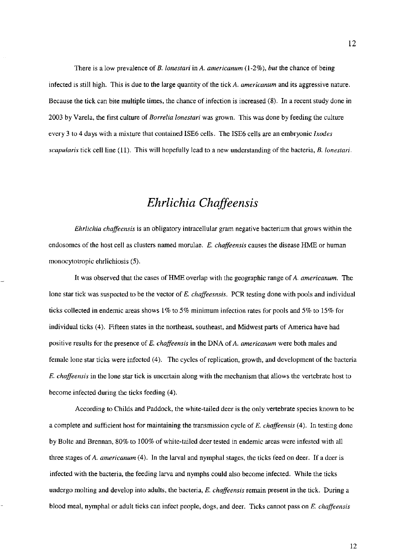There is a low prevalence of *B. lonestari* in A. *americanum* (1-2%), *but* the chance of being infected is still high. This is due to the large quantity of the tick *A. americanum* and its aggressive nature. **Because the tick can bite multiple times, the chance of infection is increased (8), In a recent study done in**  2003 by Varela, the tirst culture of *Borrelia lonestari* was grown. This was done by feeding the culture every 3 to 4 days with a mixture that contained ISE6 cells. The ISE6 cells are an embryonic *Ixodes scapularis* tick cell line (11). This will hopefully lead to a new understanding of the bacteria, *B. lonestari.* 

### *Ehrlichia Chaffeensis*

*Ehrlichia chaffeensis* is an obligatory intracellular gram negative bacterium that grows within the **endosomes of the host cell as clusters named morulae.** *E. chaffeensis* **causes the disease HME or human**  monocytotropic ehrlichiosis (5).

It was observed that the cases of HME overlap with the geographic range of A. *americanum.* The lone star tick was suspected to be the vector of *E. chaffeesnsis.* PCR testing done with pools and individual **ticks collected in endemic areas shows 1 % to 5% minimum infection rates for pools and 5% to 15% for**  individual ticks (4). Fifteen states in the northeast, southeast, and Midwest parts of America have had **positive results for the presence of** *E. chaffeensis* **in the DNA of** *A. americanum* **were both males and**  female lone star ticks were infected (4). The cycles of replication, growth, and development of the bacteria *E. chaffeensis* in the lone star tick is uncertain along with the mechanism that allows the vertebrate host to become infected during the ticks feeding (4).

According to Childs and Paddock, the white-tailed deer is the only vertebrate species known to be a complete and sufficient host for maintaining the transmission cycle of *E. chaffeensis* (4). In testing done by Bolte and Brennan, 80% to 100% of white-tailed deer tested in endemic areas were infested with all three stages of A. *americanum* (4). In the larval and nymphal stages, the ticks feed on deer. If a deer is infected with the bacteria, the feeding larva and nymphs could also become infected. While the ticks **undergo molting and develop into adults, the bacteria,** *E. chaffeensis* **remain present in the tick. During a**  blood meal, nymphal or adult ticks can infect people, dogs, and deer. Ticks cannot pass on *E. chaffeensis*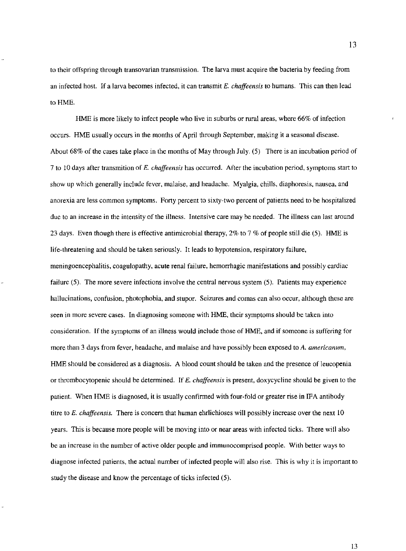**to their offspring through transovarian transmission. The larva must acquire the bacteria by feeding from**  an infected host. If a larva becomes infected, it can transmit *E. chaffeensis* to humans. This can then lead to HME.

HME is more likely to infect people who live in suburbs or rural areas, where 66% of infection occurs. HME usually occurs in the months of April through September, making it a seasonal disease. About 68% of the cases take place in the months of May through July. (5) There is an incubation period of **7 to 10 days after transmition of E.** *chaffeensis* **has occurred. After the incubation period, symptoms start to**  show up which generally include fever, malaise, and headache. Myalgia, chills, diaphoresis, nausea, and **anorexia are less common symptoms. Forty percent to sixty-two percent of patients need to be hospitalized due to an increase in the intensity of the illness. Intensive care may be needed. The illness can last around**  23 days. Even though there is effective antimicrobial therapy, 2% to 7 % of people still die (5). HME is life-threatening and should be taken seriously. It leads to hypotension, respiratory failure, **meningoencephalitis, coagulopatby, acute renal failure, hemorrhagic manifestations and possibly cardiac failure (5). The more severe infections involve the central nervous system (5). Patients may experience hallucinations, confusion. photophobia. and stupor. Seizures and comas can also occur, although these are**  seen in more severe cases. In diagnosing someone with HME, their symptoms should be taken into consideration. If the symptoms of an illness would include those of HME, and if someone is suffering for **more than 3 days from fever, headache, and malaise and have possibly been exposed to** *A. americanum,*  HME should be considered as a diagnosis. A blood count should be taken and the presence of leucopenia or thrombocytopenic should be determined. If *E. chaffeensis* is present, doxycycline should be given to the patient. When HME is diagnosed, it is usually confirmed with four-fold or greater rise in IFA antibody **titre to** *E. chaffeensis.* **There is concern that human ehrlichioses will possibly increase over the next 10**  years. This is because more people will be moving into or near areas with infected ticks. There will also **be an increase in the number of active older people and immunocomprised people. With better ways to diagnose infected patients, the actual number of infected people will also rise. This is why it is important to**  study the disease and know the percentage of ticks infected (5).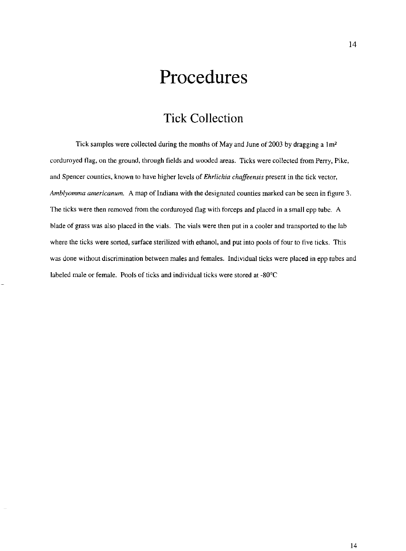# **Procedures**

## **Tick Collection**

Tick samples were collected during the months of May and June of 2003 by dragging a  $1m<sup>2</sup>$ corduroyed flag, on the ground, through fields and wooded areas. Ticks were collected from Perry, Pike, and Spencer counties, known to have higher levels of *Ehrlichia chaffeensis* present in the tick vector, *Amblyomma arnericanum.* **A map of Indiana with the designated counties marked can be seen in figure 3.**  The ticks were then removed from the corduroyed flag with forceps and placed in a small epp tube. A blade of grass was also placed in the vials. The vials were then put in a cooler and transported to the lab where the ticks were sorted, surface sterilized with ethanol, and put into pools of four to five ticks. This **was done without discrimination between males and females. Individual ticks were placed in epp tubes and**  labeled male or female. Pools of ticks and individual ticks were stored at -80°C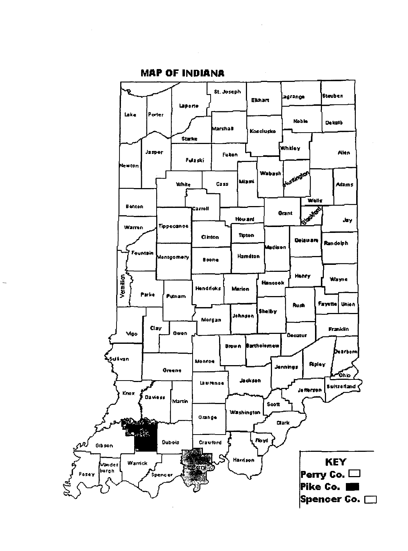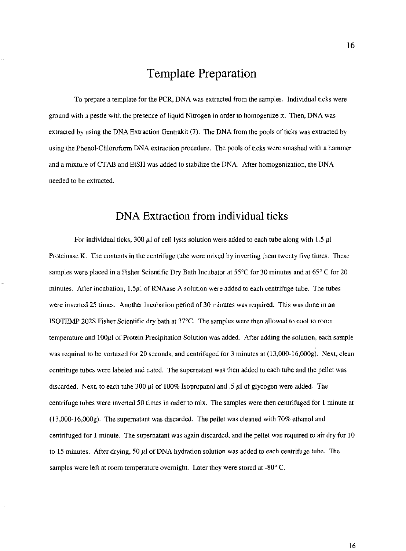### **Template Preparation**

To prepare a template for the PCR, DNA was extracted from the samples. Individual ticks were **ground with a pestle with the presence of liquid Nitrogen in order to homogenize it. Then, DNA was**  extracted by using the DNA Extraction Gentrakit (7). The DNA from the pools of ticks was extracted by using the Phenol-Chloroform DNA extraction procedure. The pools of ticks were smashed with a hammer and a mixture ofCTAB and EtSH was added to stabilize the DNA. After homogenization, the DNA **needed to be extracted.** 

#### **DNA Extraction from individual ticks**

For individual ticks, 300  $\mu$ l of cell lysis solution were added to each tube along with 1.5  $\mu$ l **Proteinase K. The contents in the centrifuge tube were mixed by inverting them twenty five times. These**  samples were placed in a Fisher Scientific Dry Bath Incubator at 55°C for 30 minutes and at 65° C for 20 minutes. After incubation, 1.5µ! of RNAase A solution were added to each centrifuge tube. The tubes **were inverted 25 times. Another incubation period of 30 minutes was required. This was done in an**  ISOTEMP 202S Fisher Scientific dry bath at 37°C. The samples were then allowed to cool to room temperature and  $100\mu$ 1 of Protein Precipitation Solution was added. After adding the solution, each sample was required to be vortexed for 20 seconds, and centrifuged for 3 minutes at (13,000-16,000g). Next, clean centrifuge tubes were labeled and dated. The supernatant was then added to each tube and the pellet was discarded. Next, to each tube 300  $\mu$ l of 100% Isopropanol and .5  $\mu$ l of glycogen were added. The centrifuge tubes were inverted 50 times in order to mix. The samples were then centrifuged for 1 minute at (13,000-16,000g). The supernatant was discarded. The pellet was cleaned with 70% ethanol and centrifuged for 1 minute. The supernatant was again discarded, and the pellet was required to air dry for 10 to 15 minutes. After drying, 50  $\mu$ l of DNA hydration solution was added to each centrifuge tube. The samples were left at room temperature overnight. Later they were stored at -80° C.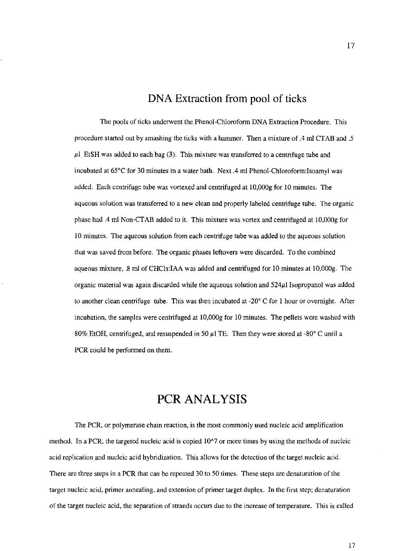#### **DNA Extraction from pool of ticks**

The pools of ticks underwent the Phenol-Chloroform DNA Extraction Procedure. This procedure started out by smashing the ticks with a hammer. Then a mixture of .4 rnl CTAB and .5  $\mu$ l EtSH was added to each bag (3). This mixture was transferred to a centrifuge tube and incubated at 65°C for 30 minutes in a water bath. Next.4 ml Phenol-Chloroform:Isoamyl was added. Each centrifuge tube was vortexed and centrifuged at 1O,000g for 10 minutes. The **aqueous solution was transferred to a new clean and properly labeled centrifuge tube. The organic**  phase had .4 rnl Non-CT AB added to it. This mixture was vortex and centrifuged at 10,000g for **10 minutes. The aqueous solution from each centrifuge tube was added to the aqueous solution**  that was saved from before. The organic phases leftovers were discarded. To the combined aqueous mixture, .8 rnl of CHC13:IAA was added and centrifuged for 10 minutes at 1O,000g. The organic material was again discarded while the aqueous solution and  $524\mu$ I Isopropanol was added to another clean centrifuge tube. This was then incubated at  $-20^{\circ}$  C for 1 hour or overnight. After incubation, the samples were centrifuged at 10,000g for 10 minutes. The pellets were washed with 80% EtOH, centrifuged, and resuspended in 50  $\mu$ l TE. Then they were stored at -80° C until a PCR could be performed on them.

### **PCR ANALYSIS**

**The peR, or polymerase chain reaction, is the most commonly used nucleic acid amplification**  method. In a PCR, the targeted nucleic acid is copied 10<sup> $\gamma$ </sup> or more times by using the methods of nucleic acid replication and nucleic acid hybridization. This allows for the detection of the target nucleic acid. There are three steps in a PCR that can be repeated 30 to 50 times. These steps are denaturation of the **target nucleic acid, primer annealing, and extension of primer target duplex. In the first step: denaturation of the target nucleic acid, the separation of strands occurs due to the increase of temperature, This is called**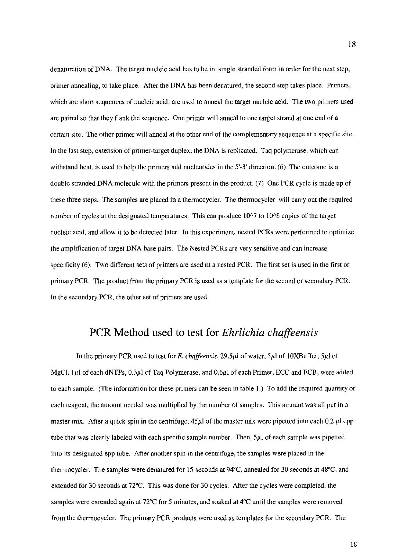denaturation of DNA. The target nucleic acid has to be in single stranded fonn in order for the next step, primer annealing, to take place. After the DNA has been denatured, the second step takes place. Primers, which are short sequences of nucleic acid, are used to anneal the target nucleic acid. The two primers used are paired so that they flank the sequence. One primer will anneal to one target strand at one end of a certain site. The other primer will anneal at the other end of the complementary sequence at a specific site. In the last step, extension of primer-target duplex, the DNA is replicated. Taq polymerase, which can withstand heat, is used to help the primers add nucleotides in the 5'-3' direction. (6) The outcome is a double stranded DNA molecule with the primers present in the product. (7) One PCR cycle is made up of these three steps. The samples are placed in a thennocycler. The thennocycler will carry out the required number of cycles at the designated temperatures. This can produce 10^7 to 10^8 copies of the target nucleic acid, and allow it to be detected later. In this experiment, nested PCRs were performed to optimize the amplification of target DNA base pairs. The Nested PCRs are very sensitive and can increase specificity (6). Two different sets of primers are used in a nested PCR. The first set is used in the first or primary PCR. The product from the primary PCR is used as a template for the second or secondary PCR. In the secondary PCR, the other set of primers are used.

#### peR Method used to test for *Ehrlichia chaffeensis*

In the primary PCR used to test for *E. chaffeensis*, 29.5µl of water, 5µl of 10XBuffer, 5µl of MgCl,  $1\mu$ I of each dNTPs, 0.3 $\mu$ I of Taq Polymerase, and 0.6 $\mu$ I of each Primer, ECC and ECB, were added to each sample. (The information for these primers can be seen in table 1.) To add the required quantity of each reagent, the amount needed was multiplied by the number of samples. This amount was all put in a master mix. After a quick spin in the centrifuge,  $45\mu$  of the master mix were pipetted into each 0.2  $\mu$ l epp tube that was clearly labeled with each specific sample number. Then,  $5\mu$ l of each sample was pipetted into its designated epp tube. After another spin in the centrifuge, the samples were placed in the thermocycler. The samples were denatured for IS seconds at 94°C, annealed for 30 seconds at 48°C, and extended for 30 seconds at 72°C. This was done for 30 cycles. After the cycles were completed, the samples were extended again at 72°C for 5 minutes, and soaked at 4°C **until** the samples were removed from the thermocycler. The primary PCR products were used as templates for the secondary PCR. The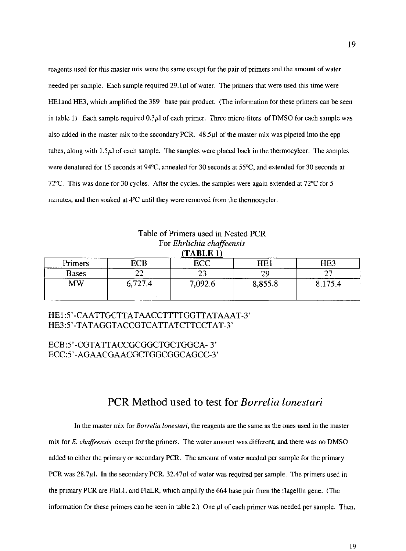reagents used for this master mix were the same except for the pair of primers and the amount of water needed per sample. Each sample required  $29.1\mu$  of water. The primers that were used this time were HEland HE3, which amplified the 389 base pair product. (The information for these primers can be seen in table 1). Each sample required 0.3µl of each primer. Three micro-liters of DMSO for each sample was also added in the master mix to the secondary PCR. 48.51'1 of the master mix was pipeted into the epp tubes, along with  $1.5\mu$  of each sample. The samples were placed back in the thermocylcer. The samples were denatured for 15 seconds at 94"C, annealed for 30 seconds at 55"C, and extended for 30 seconds at 72°C. This was done for 30 cycles. After the cycles, the samples were again extended at  $72^{\circ}$ C for 5 minutes, and then soaked at  $4^{\circ}$ C until they were removed from the thermocycler.

| Table of Finners used in rested FCR<br>For Ehrlichia chaffeensis<br>(TABLE 1) |         |         |         |         |
|-------------------------------------------------------------------------------|---------|---------|---------|---------|
| Primers                                                                       | ECB     | ECC     | HE1     | HE3     |
| <b>Bases</b>                                                                  |         | 23      | 29      |         |
| <b>MW</b>                                                                     | 6,727.4 | 7,092.6 | 8,855.8 | 8,175.4 |

Table of Primers used in Nested PCR

#### HEl:5'-CAATTGCTTATAACCTTTTGGTTATAAAT-3' HE3:5'-TATAGGTACCGTCATTATCTTCCTAT-3'

#### ECB:5'-CGTATTACCGCGGCTGCTGGCA- 3' ECC:5' -AGAACGAACGCTGGCGGCAGCC-3'

#### peR Method used to test for *Borrelia lonestari*

In the master mix for *Borrelia lonestari,* the reagents are the same as the ones used in the master mix for *E. chaffeensis,* except for the primers. The water amount was different, and there was no DMSO added to either the primary or secondary PCR. The amount of water needed per sample for the primary PCR was  $28.7\mu$ . In the secondary PCR,  $32.47\mu$  of water was required per sample. The primers used in the primary PCR are FlaIL and FlaLR, which amplify the 664 base pair from the flagellin gene. (The information for these primers can be seen in table 2.) One  $\mu$ l of each primer was needed per sample. Then,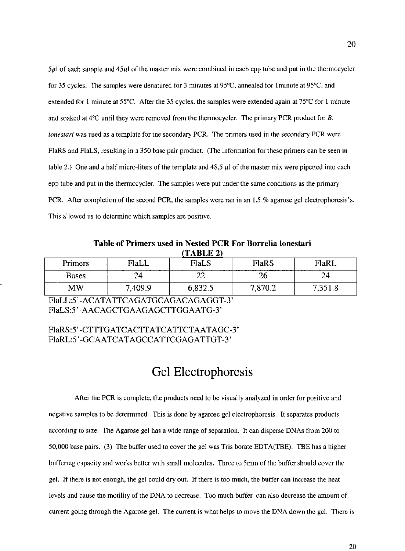$5\mu$ I of each sample and  $45\mu$ I of the master mix were combined in each epp tube and put in the thermocycler **for 35 cycles. The samples were denatured for 3 minutes at 95°C, annealed for lminute at 95°C, and**  extended for 1 minute at 55"C. After the 35 cycles, the samples were extended again at 75"C for 1 minute and soaked at 4"C until they were removed from the thermocycler. The primary PCR product for *B. lonestari* was used as a template for the secondary PCR. The primers used in the secondary PCR were FlaRS and FlaLS, resulting in a 350 base pair product. (The information for these primers can be seen in table 2.) One and a half micro-liters of the template and  $48.5 \mu$  of the master mix were pipetted into each epp tube and put in the thermocycler. The samples were put under the same conditions as the primary PCR. After completion of the second PCR, the samples were ran in an 1,5 % agarase gel electrophoresis's. This allowed us to determine which samples are positive.

**Table of Primers used in Nested PCR For Borrelia lonestari (TABLE 2)** 

| Primers                | FlaLL  | FlaLS   | <b>FlaRS</b> | FlaRL |
|------------------------|--------|---------|--------------|-------|
| <b>Bases</b>           | 24     | ∠∠      | Ζb           | 24    |
| $\mathbf{M}\mathbf{W}$ | ,409.9 | U.OJZ.J | ' 870.2<br>– | 0.10C |

FlaLL: 5'-ACATATTCAGATGCAGACAGAGGT-3' FlaLS:5' -AACAGCTGAAGAGCTTGGAATG-3'

#### FlaRS:5'-CTTTGATCACTTATCATTCTAATAGC-3' FlaRL:5'-GCAATCATAGCCATTCGAGATTGT-3'

## **Gel Electrophoresis**

After the PCR is complete, the products need to be visually analyzed in order for positive and negative samples to be determined. This is done by agarase gel electrophoresis. It separates products according to size. The Agarose gel has a wide range of separation. It can disperse DNAs from 200 to 50,000 base pairs. (3) The buffer used to cover the gel was Tris borate EDTA(TBE). TBE has a higher buffering capacity and works better with small molecules. Three to 5mm of the buffer should cover the gel. If there is not enough, the gel could dry out. If there is too much, the buffer can increase the heat **levels and cause the motility of the DNA to decrease. Too much buffer can also decrease the amount of**  current going through the Agarose gel. The current is what helps to move the DNA down the gel. There is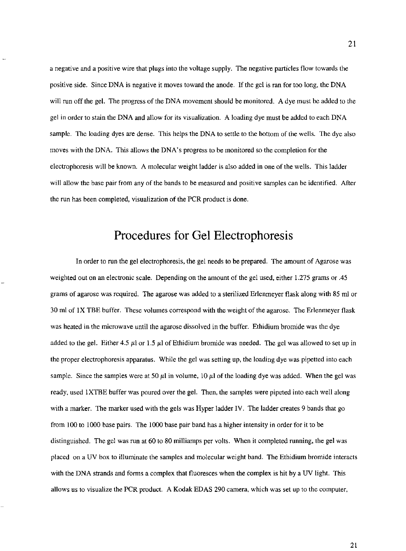a negative and a positive wire that plugs into the voltage supply. The negative particles flow towards the positive side. Since DNA is negative it moves toward the anode. If the gel is ran for too long, the DNA will run off the gel. The progress of the DNA movement should be monitored. A dye must be added to the gel in order to stain the DNA and allow for its visualization. A loading dye must be added to each DNA sample. The loading dyes are dense. This helps the DNA to settle to the bottom of the wells. The dye also moves with the DNA. This allows the DNA's progress to be monitored so the completion for the electrophoresis will be known. A molecular weight ladder is also added in one of the wells. This ladder will allow the base pair from any of the bands to be measured and positive samples can be identified. After the run has been completed, visualization of the PCR product is done.

### **Procedures for Gel Electrophoresis**

In order to run the gel electrophoresis, the gel needs to be prepared. The amount of Agarose was weighted out on an electronic scale. Depending on the amount of the gel used, either 1.275 grams or .45 grams of agarose was required. The agarose was added to a sterilized Erlenmeyer flask along with 85 ml or 30 ml of IX TEE buffer. These volumes correspond with the weight of the agarose. The Erlenmeyer Ilask was heated in the microwave until the agarose dissolved in the buffer. Ethidium bromide was the dye added to the gel. Either 4.5  $\mu$  or 1.5  $\mu$  of Ethidium bromide was needed. The gel was allowed to set up in the proper electrophoresis apparatus. While the gel was setting up, the loading dye was pipetted into each sample. Since the samples were at 50  $\mu$ l in volume, 10  $\mu$ l of the loading dye was added. When the gel was ready, used IXTBE buffer was poured over the gel. Then, the samples were pipeted into each well along with a marker. The marker used with the gels was Hyper ladder IV. The ladder creates 9 bands that go from 100 to 1000 base pairs. The 1000 base pair band has a higher intensity in order for it to be distinguished. The gel was run at 60 to 80 milliamps per volts. When it completed running, the gel was placed on a UV box to illuminate the samples and molecular weight band. The Ethidium bromide interacts with the DNA strands and forms a complex that fluoresces when the complex is hit by a UV light. This allows us to visualize the PCR product. A Kodak EDAS 290 camera, which was set up to the computer,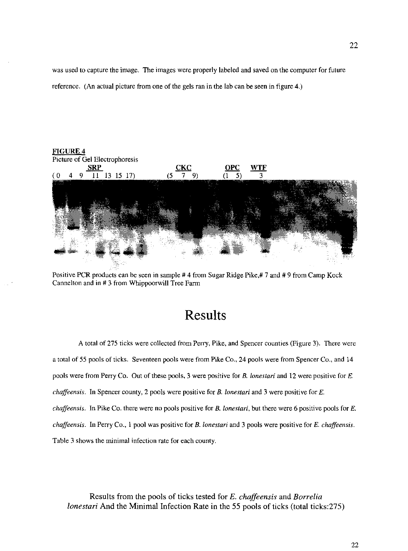was used to capture the image. The images were properly labeled and saved on the computer for future reference. (An actual picture from one of the gels ran in the lab can be seen in figure 4.)



Positive PCR products can be seen in sample # 4 from Sugar Ridge Pike,# 7 and # 9 from Camp Kock Cannelton and in # 3 from Whippoorwill Tree Farm

# **Results**

A total of 275 ticks were collected from Perry, Pike, and Spencer counties (Figure 3). There were a total of 55 pools of ticks. Seventeen pools were from Pike Co., 24 pools were from Spencer Co., and 14 **pools were from Perry Co. Out of these pools, 3 were positive for B.** *lonestari* **and 12 were positive for E.**  *chaffeensis.* **In Spencer county, 2 pools were positive for** *B. lonestari* **and 3 were positive for** *E. chaffeensis.* **In Pike Co. there were no pools positive for B.** *lonestari,* **but there were 6 positive pools for** *E. chaffeensis.* In Perry Co., 1 pool was positive for *B. lonestari* and 3 pools were positive for E. *chaffeensis.*  **Table 3 shows the minimal infection rate for each county.** 

Results from the pools of ticks tested for *E. chaffeensis* and *Borrelia lonestari* And the Minimal Infection Rate in the 55 pools of ticks (total ticks: 275)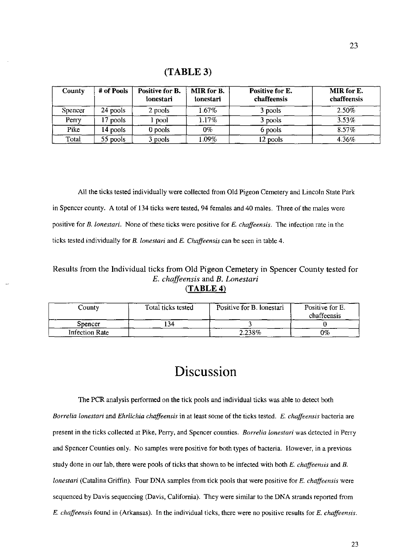#### (TABLE 3)

| <b>County</b> | # of Pools | Positive for B.<br>lonestari | MIR for B.<br>lonestari | Positive for E.<br>chaffeensis | MIR for E.<br>chaffeensis |
|---------------|------------|------------------------------|-------------------------|--------------------------------|---------------------------|
| Spencer       | 24 pools   | 2 pools                      | $1.67\%$                | 3 pools                        | 2.50%                     |
| Perry         | pools      | . pool                       | 1.17%                   | 3 pools                        | 3.53%                     |
| Pike          | 14 pools   | 0 pools                      | $0\%$                   | 6 pools                        | 8.57%                     |
| Total         | $55$ pools | pools                        | $1.09\%$                | 12 pools                       | 4.36%                     |

All the ticks tested individually were collected from Old Pigeon Cemetery and Lincoln State Park in Spencer county. A total of 134 ticks were tested, 94 females and 40 males. Three of the males were positive for *B. lonestari*. None of these ticks were positive for *E. chaffeensis*. The infection rate in the ticks tested individually for *B. lonestari* and *E. Chaffeensis* can be seen in table 4.

#### Results from the Individual ticks from Old Pigeon Cemetery in Spencer County tested for *E. chaffeensis* and *B. Lonestari*   $(TABLE 4)$

| County         | Total ticks tested | Positive for B. lonestari | Positive for E.<br>chaffeensis |
|----------------|--------------------|---------------------------|--------------------------------|
| Spencer        | .34                |                           |                                |
| Infection Rate |                    | 2.238%                    | 0%                             |

# Discussion

The PCR analysis performed on the tick pools and individual ticks was able to detect both *Borrelia lonestari* and *Ehrlichia chaffeensis* in at least some of the ticks tested. *E. chaffeensis* bacteria are present in the ticks collected at Pike, Perry, and Spencer counties. *Borrelia lonestari* was detected in Perry and Spencer Counties only. No samples were positive for both types of bacteria. However, in a previous study done in our lab, there were pools of ticks that shown to be infected with both *E. chaffeensis* and *B. lonestari* (Catalina Griffin). Four DNA samples from tick pools that were positive for E. *chaffeensis* were sequenced by Davis sequencing (Davis. California). They were similar to the DNA strands reported from *E. chaffeensis* found in (Arkansas). In the individual ticks, there were no positive results for *E. chaffeensis.*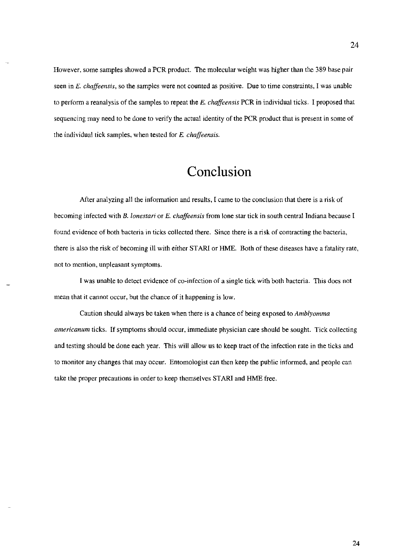However, some samples showed a PCR product. The molecular weight was higher than the 389 base pair **seen in** *E. chaffeensis,* **so the samples were not counted as positive. Due to time constraints, I was unable**  to perform a reanalysis of the samples to repeat the E, *chaffeensis* PCR in individual ticks, I proposed that sequencing may need to be done to verify the actual identity of the PCR product that is present in some of the individual tick samples, when tested for E, *chaffeensis,* 

# **Conclusion**

**After analyzing all the information and results, I came to the conclusion that there is a risk of becoming infected with** *B. lonestari* **or E.** *chaffeensis* **from lone star tick in south central Indiana because I found evidence** of both **bacteria in ticks collected there. Since there is a risk of contracting the bacteria,**  there is also the risk of becoming ill with either ST ARI or HME, Both of these diseases have a fatality rate, **not to mention, unpleasant symptoms.** 

I was unable to detect evidence of co-infection of a single tick with both bacteria, This does not **mean that it cannot occur, but the chance of it happening is low.** 

Caution should always be taken when there is a chance of being exposed to *Amblyomma americanum* **ticks. If symptoms should occur, immediate physician care should be sought. Tick collecting**  and testing should be done each year. This will allow us to keep tract of the infection rate in the ticks and to monitor any changes that may occur. Entomologist can then keep the public informed, and people can take the proper precautions in order to keep themselves ST ARI and HME free,